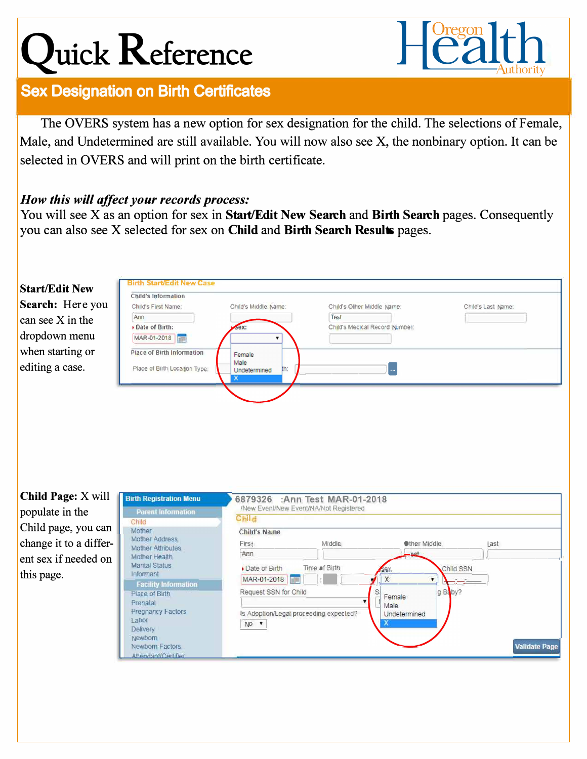## **Quick Reference**



## **Sex Designation on Birth Certificates**

The OVERS system has a new option for sex designation for the child. The selections of Female, Male, and Undetermined are still available. You will now also see X, the nonbinary option. It can be selected in OVERS and will print on the birth certificate.

## *How this will affect your records process:*

You will see X as an option for sex in **Start/Edit New Seareh** and **Birth Seareh** pages. Consequently you can also see X selected for sex on **Child** and **Birth Seareh Results** pages.



**Child Page:** X will populate in the Child page, you can change it to a different sex if needed on this page.

| <b>Birth Registration Menu</b>                                                                 | 6879326 :Ann Test MAR-01-2018<br>/New Event/New Event/NA/Not Registered        |                         |                                                     |                      |
|------------------------------------------------------------------------------------------------|--------------------------------------------------------------------------------|-------------------------|-----------------------------------------------------|----------------------|
| <b>Parent Information</b><br>Child                                                             | Child                                                                          |                         |                                                     |                      |
| Mother<br>Mother Address<br><b>Mother Attributes</b><br>Mother Health<br><b>Marital Status</b> | <b>Child's Name</b><br>First<br>Arm<br>Date of Birth                           | Middle<br>Time of Birth | <b>Other Middle</b><br>$-0.51$<br>Child SSN<br>Sex. | Last                 |
| Informant<br><b>Facility Information</b><br>Place of Birth<br>Prenatal<br>Pregnancy Factors    | MAR-01-2018<br>Request SSN for Child<br>Is Adoption/Legal proceeding expected? |                         | X<br>q Baby?<br>Female<br>Male<br>Undetermined      |                      |
| Labor<br><b>Delivery</b><br>Newborn<br>Newborn Factors<br>Attendant/Certifier                  | NO T                                                                           |                         | ж                                                   | <b>Validate Page</b> |